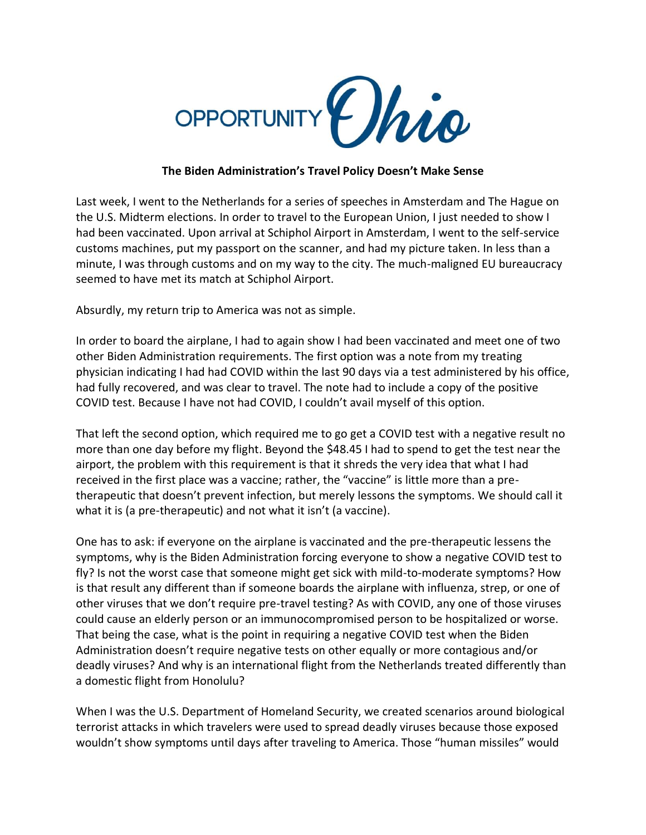

## **The Biden Administration's Travel Policy Doesn't Make Sense**

Last week, I went to the Netherlands for a series of speeches in Amsterdam and The Hague on the U.S. Midterm elections. In order to travel to the European Union, I just needed to show I had been vaccinated. Upon arrival at Schiphol Airport in Amsterdam, I went to the self-service customs machines, put my passport on the scanner, and had my picture taken. In less than a minute, I was through customs and on my way to the city. The much-maligned EU bureaucracy seemed to have met its match at Schiphol Airport.

Absurdly, my return trip to America was not as simple.

In order to board the airplane, I had to again show I had been vaccinated and meet one of two other Biden Administration requirements. The first option was a note from my treating physician indicating I had had COVID within the last 90 days via a test administered by his office, had fully recovered, and was clear to travel. The note had to include a copy of the positive COVID test. Because I have not had COVID, I couldn't avail myself of this option.

That left the second option, which required me to go get a COVID test with a negative result no more than one day before my flight. Beyond the \$48.45 I had to spend to get the test near the airport, the problem with this requirement is that it shreds the very idea that what I had received in the first place was a vaccine; rather, the "vaccine" is little more than a pretherapeutic that doesn't prevent infection, but merely lessons the symptoms. We should call it what it is (a pre-therapeutic) and not what it isn't (a vaccine).

One has to ask: if everyone on the airplane is vaccinated and the pre-therapeutic lessens the symptoms, why is the Biden Administration forcing everyone to show a negative COVID test to fly? Is not the worst case that someone might get sick with mild-to-moderate symptoms? How is that result any different than if someone boards the airplane with influenza, strep, or one of other viruses that we don't require pre-travel testing? As with COVID, any one of those viruses could cause an elderly person or an immunocompromised person to be hospitalized or worse. That being the case, what is the point in requiring a negative COVID test when the Biden Administration doesn't require negative tests on other equally or more contagious and/or deadly viruses? And why is an international flight from the Netherlands treated differently than a domestic flight from Honolulu?

When I was the U.S. Department of Homeland Security, we created scenarios around biological terrorist attacks in which travelers were used to spread deadly viruses because those exposed wouldn't show symptoms until days after traveling to America. Those "human missiles" would